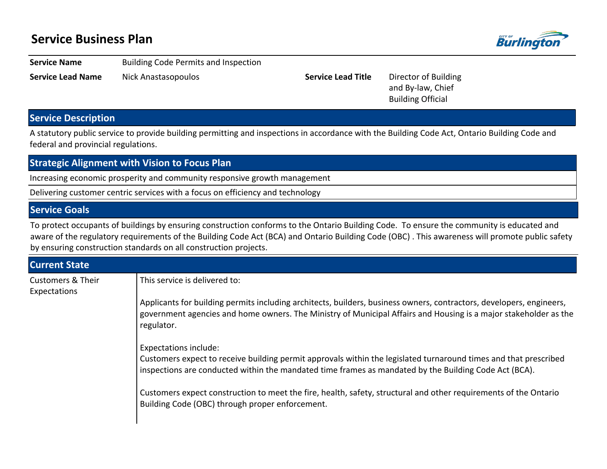## **Service Business Plan**



**Service Name** Building Code Permits and Inspection

**Service Lead Name** Nick Anastasopoulos **Service Lead Title** Director of Building

and By-law, Chief Building Official

## **Service Description**

A statutory public service to provide building permitting and inspections in accordance with the Building Code Act, Ontario Building Code and federal and provincial regulations.

| <b>Strategic Alignment with Vision to Focus Plan</b> |                                                                                                                                                                                                                                                                                                                                                                 |  |  |  |  |  |  |
|------------------------------------------------------|-----------------------------------------------------------------------------------------------------------------------------------------------------------------------------------------------------------------------------------------------------------------------------------------------------------------------------------------------------------------|--|--|--|--|--|--|
|                                                      | Increasing economic prosperity and community responsive growth management                                                                                                                                                                                                                                                                                       |  |  |  |  |  |  |
|                                                      | Delivering customer centric services with a focus on efficiency and technology                                                                                                                                                                                                                                                                                  |  |  |  |  |  |  |
| <b>Service Goals</b>                                 |                                                                                                                                                                                                                                                                                                                                                                 |  |  |  |  |  |  |
|                                                      | To protect occupants of buildings by ensuring construction conforms to the Ontario Building Code. To ensure the community is educated and<br>aware of the regulatory requirements of the Building Code Act (BCA) and Ontario Building Code (OBC). This awareness will promote public safety<br>by ensuring construction standards on all construction projects. |  |  |  |  |  |  |
| <b>Current State</b>                                 |                                                                                                                                                                                                                                                                                                                                                                 |  |  |  |  |  |  |
| <b>Customers &amp; Their</b><br>Expectations         | This service is delivered to:                                                                                                                                                                                                                                                                                                                                   |  |  |  |  |  |  |
|                                                      | Applicants for building permits including architects, builders, business owners, contractors, developers, engineers,                                                                                                                                                                                                                                            |  |  |  |  |  |  |

itects, builders, business owners, co government agencies and home owners. The Ministry of Municipal Affairs and Housing is a major stakeholder as the regulator.

Expectations include:

Customers expect to receive building permit approvals within the legislated turnaround times and that prescribed inspections are conducted within the mandated time frames as mandated by the Building Code Act (BCA).

Customers expect construction to meet the fire, health, safety, structural and other requirements of the Ontario Building Code (OBC) through proper enforcement.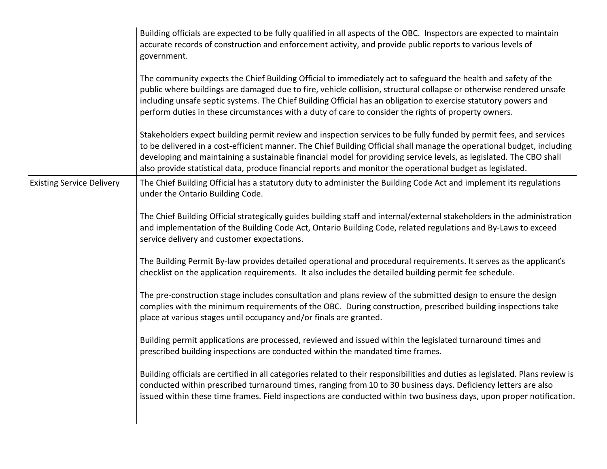|                                  | Building officials are expected to be fully qualified in all aspects of the OBC. Inspectors are expected to maintain<br>accurate records of construction and enforcement activity, and provide public reports to various levels of<br>government.                                                                                                                                                                                                                                 |
|----------------------------------|-----------------------------------------------------------------------------------------------------------------------------------------------------------------------------------------------------------------------------------------------------------------------------------------------------------------------------------------------------------------------------------------------------------------------------------------------------------------------------------|
|                                  | The community expects the Chief Building Official to immediately act to safeguard the health and safety of the<br>public where buildings are damaged due to fire, vehicle collision, structural collapse or otherwise rendered unsafe<br>including unsafe septic systems. The Chief Building Official has an obligation to exercise statutory powers and<br>perform duties in these circumstances with a duty of care to consider the rights of property owners.                  |
|                                  | Stakeholders expect building permit review and inspection services to be fully funded by permit fees, and services<br>to be delivered in a cost-efficient manner. The Chief Building Official shall manage the operational budget, including<br>developing and maintaining a sustainable financial model for providing service levels, as legislated. The CBO shall<br>also provide statistical data, produce financial reports and monitor the operational budget as legislated. |
| <b>Existing Service Delivery</b> | The Chief Building Official has a statutory duty to administer the Building Code Act and implement its regulations<br>under the Ontario Building Code.                                                                                                                                                                                                                                                                                                                            |
|                                  | The Chief Building Official strategically guides building staff and internal/external stakeholders in the administration<br>and implementation of the Building Code Act, Ontario Building Code, related regulations and By-Laws to exceed<br>service delivery and customer expectations.                                                                                                                                                                                          |
|                                  | The Building Permit By-law provides detailed operational and procedural requirements. It serves as the applicant's<br>checklist on the application requirements. It also includes the detailed building permit fee schedule.                                                                                                                                                                                                                                                      |
|                                  | The pre-construction stage includes consultation and plans review of the submitted design to ensure the design<br>complies with the minimum requirements of the OBC. During construction, prescribed building inspections take<br>place at various stages until occupancy and/or finals are granted.                                                                                                                                                                              |
|                                  | Building permit applications are processed, reviewed and issued within the legislated turnaround times and<br>prescribed building inspections are conducted within the mandated time frames.                                                                                                                                                                                                                                                                                      |
|                                  | Building officials are certified in all categories related to their responsibilities and duties as legislated. Plans review is<br>conducted within prescribed turnaround times, ranging from 10 to 30 business days. Deficiency letters are also<br>issued within these time frames. Field inspections are conducted within two business days, upon proper notification.                                                                                                          |
|                                  |                                                                                                                                                                                                                                                                                                                                                                                                                                                                                   |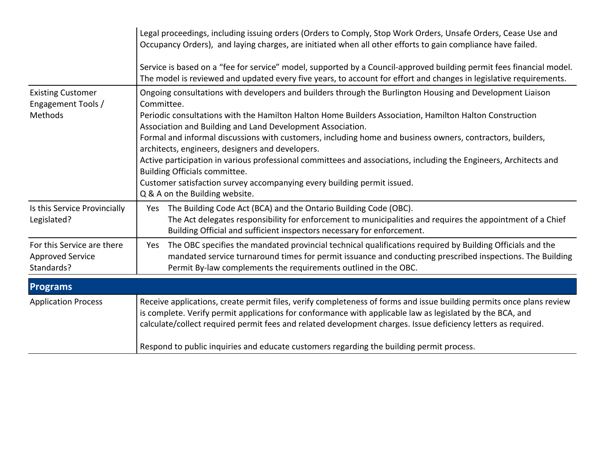|                                                                     | Legal proceedings, including issuing orders (Orders to Comply, Stop Work Orders, Unsafe Orders, Cease Use and<br>Occupancy Orders), and laying charges, are initiated when all other efforts to gain compliance have failed.<br>Service is based on a "fee for service" model, supported by a Council-approved building permit fees financial model.<br>The model is reviewed and updated every five years, to account for effort and changes in legislative requirements.                                                                                                                                                                                                                                                            |
|---------------------------------------------------------------------|---------------------------------------------------------------------------------------------------------------------------------------------------------------------------------------------------------------------------------------------------------------------------------------------------------------------------------------------------------------------------------------------------------------------------------------------------------------------------------------------------------------------------------------------------------------------------------------------------------------------------------------------------------------------------------------------------------------------------------------|
| <b>Existing Customer</b><br>Engagement Tools /<br>Methods           | Ongoing consultations with developers and builders through the Burlington Housing and Development Liaison<br>Committee.<br>Periodic consultations with the Hamilton Halton Home Builders Association, Hamilton Halton Construction<br>Association and Building and Land Development Association.<br>Formal and informal discussions with customers, including home and business owners, contractors, builders,<br>architects, engineers, designers and developers.<br>Active participation in various professional committees and associations, including the Engineers, Architects and<br>Building Officials committee.<br>Customer satisfaction survey accompanying every building permit issued.<br>Q & A on the Building website. |
| Is this Service Provincially<br>Legislated?                         | The Building Code Act (BCA) and the Ontario Building Code (OBC).<br>Yes<br>The Act delegates responsibility for enforcement to municipalities and requires the appointment of a Chief<br>Building Official and sufficient inspectors necessary for enforcement.                                                                                                                                                                                                                                                                                                                                                                                                                                                                       |
| For this Service are there<br><b>Approved Service</b><br>Standards? | The OBC specifies the mandated provincial technical qualifications required by Building Officials and the<br>Yes<br>mandated service turnaround times for permit issuance and conducting prescribed inspections. The Building<br>Permit By-law complements the requirements outlined in the OBC.                                                                                                                                                                                                                                                                                                                                                                                                                                      |
| <b>Programs</b>                                                     |                                                                                                                                                                                                                                                                                                                                                                                                                                                                                                                                                                                                                                                                                                                                       |
| <b>Application Process</b>                                          | Receive applications, create permit files, verify completeness of forms and issue building permits once plans review<br>is complete. Verify permit applications for conformance with applicable law as legislated by the BCA, and<br>calculate/collect required permit fees and related development charges. Issue deficiency letters as required.<br>Respond to public inquiries and educate customers regarding the building permit process.                                                                                                                                                                                                                                                                                        |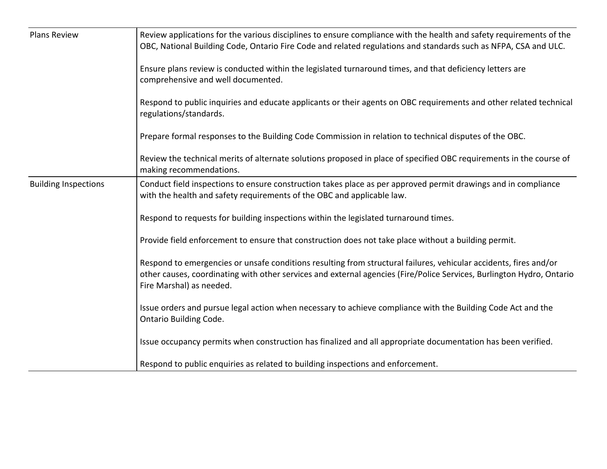| <b>Plans Review</b>         | Review applications for the various disciplines to ensure compliance with the health and safety requirements of the<br>OBC, National Building Code, Ontario Fire Code and related regulations and standards such as NFPA, CSA and ULC.                                 |  |  |  |  |  |
|-----------------------------|------------------------------------------------------------------------------------------------------------------------------------------------------------------------------------------------------------------------------------------------------------------------|--|--|--|--|--|
|                             | Ensure plans review is conducted within the legislated turnaround times, and that deficiency letters are<br>comprehensive and well documented.                                                                                                                         |  |  |  |  |  |
|                             | Respond to public inquiries and educate applicants or their agents on OBC requirements and other related technical<br>regulations/standards.                                                                                                                           |  |  |  |  |  |
|                             | Prepare formal responses to the Building Code Commission in relation to technical disputes of the OBC.                                                                                                                                                                 |  |  |  |  |  |
|                             | Review the technical merits of alternate solutions proposed in place of specified OBC requirements in the course of<br>making recommendations.                                                                                                                         |  |  |  |  |  |
| <b>Building Inspections</b> | Conduct field inspections to ensure construction takes place as per approved permit drawings and in compliance<br>with the health and safety requirements of the OBC and applicable law.                                                                               |  |  |  |  |  |
|                             | Respond to requests for building inspections within the legislated turnaround times.                                                                                                                                                                                   |  |  |  |  |  |
|                             | Provide field enforcement to ensure that construction does not take place without a building permit.                                                                                                                                                                   |  |  |  |  |  |
|                             | Respond to emergencies or unsafe conditions resulting from structural failures, vehicular accidents, fires and/or<br>other causes, coordinating with other services and external agencies (Fire/Police Services, Burlington Hydro, Ontario<br>Fire Marshal) as needed. |  |  |  |  |  |
|                             | Issue orders and pursue legal action when necessary to achieve compliance with the Building Code Act and the<br>Ontario Building Code.                                                                                                                                 |  |  |  |  |  |
|                             | Issue occupancy permits when construction has finalized and all appropriate documentation has been verified.                                                                                                                                                           |  |  |  |  |  |
|                             | Respond to public enquiries as related to building inspections and enforcement.                                                                                                                                                                                        |  |  |  |  |  |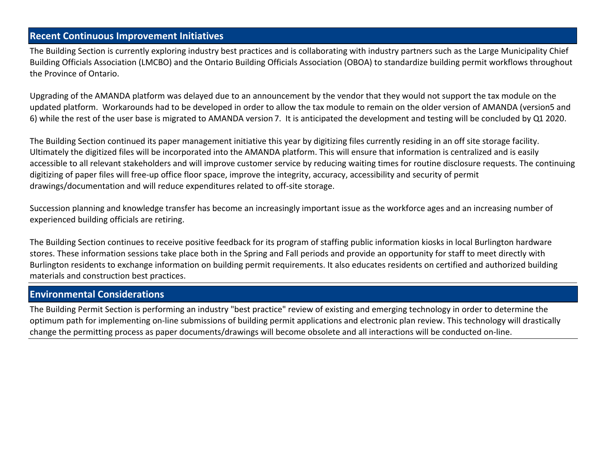### **Recent Continuous Improvement Initiatives**

The Building Section is currently exploring industry best practices and is collaborating with industry partners such as the Large Municipality Chief Building Officials Association (LMCBO) and the Ontario Building Officials Association (OBOA) to standardize building permit workflows throughout the Province of Ontario.

Upgrading of the AMANDA platform was delayed due to an announcement by the vendor that they would not support the tax module on the updated platform. Workarounds had to be developed in order to allow the tax module to remain on the older version of AMANDA (version 5 and 6) while the rest of the user base is migrated to AMANDA version 7. It is anticipated the development and testing will be concluded by Q1 2020.

The Building Section continued its paper management initiative this year by digitizing files currently residing in an off site storage facility. Ultimately the digitized files will be incorporated into the AMANDA platform. This will ensure that information is centralized and is easily accessible to all relevant stakeholders and will improve customer service by reducing waiting times for routine disclosure requests. The continuing digitizing of paper files will free-up office floor space, improve the integrity, accuracy, accessibility and security of permit drawings/documentation and will reduce expenditures related to off-site storage.

Succession planning and knowledge transfer has become an increasingly important issue as the workforce ages and an increasing number of experienced building officials are retiring.

The Building Section continues to receive positive feedback for its program of staffing public information kiosks in local Burlington hardware stores. These information sessions take place both in the Spring and Fall periods and provide an opportunity for staff to meet directly with Burlington residents to exchange information on building permit requirements. It also educates residents on certified and authorized building materials and construction best practices.

### **Environmental Considerations**

The Building Permit Section is performing an industry "best practice" review of existing and emerging technology in order to determine the optimum path for implementing on-line submissions of building permit applications and electronic plan review. This technology will drastically change the permitting process as paper documents/drawings will become obsolete and all interactions will be conducted on-line.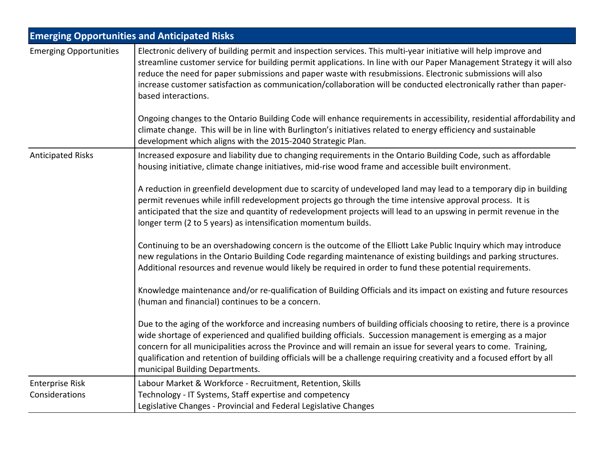|                                          | <b>Emerging Opportunities and Anticipated Risks</b>                                                                                                                                                                                                                                                                                                                                                                                                                                                                    |
|------------------------------------------|------------------------------------------------------------------------------------------------------------------------------------------------------------------------------------------------------------------------------------------------------------------------------------------------------------------------------------------------------------------------------------------------------------------------------------------------------------------------------------------------------------------------|
| <b>Emerging Opportunities</b>            | Electronic delivery of building permit and inspection services. This multi-year initiative will help improve and<br>streamline customer service for building permit applications. In line with our Paper Management Strategy it will also<br>reduce the need for paper submissions and paper waste with resubmissions. Electronic submissions will also<br>increase customer satisfaction as communication/collaboration will be conducted electronically rather than paper-<br>based interactions.                    |
|                                          | Ongoing changes to the Ontario Building Code will enhance requirements in accessibility, residential affordability and<br>climate change. This will be in line with Burlington's initiatives related to energy efficiency and sustainable<br>development which aligns with the 2015-2040 Strategic Plan.                                                                                                                                                                                                               |
| <b>Anticipated Risks</b>                 | Increased exposure and liability due to changing requirements in the Ontario Building Code, such as affordable<br>housing initiative, climate change initiatives, mid-rise wood frame and accessible built environment.                                                                                                                                                                                                                                                                                                |
|                                          | A reduction in greenfield development due to scarcity of undeveloped land may lead to a temporary dip in building<br>permit revenues while infill redevelopment projects go through the time intensive approval process. It is<br>anticipated that the size and quantity of redevelopment projects will lead to an upswing in permit revenue in the<br>longer term (2 to 5 years) as intensification momentum builds.                                                                                                  |
|                                          | Continuing to be an overshadowing concern is the outcome of the Elliott Lake Public Inquiry which may introduce<br>new regulations in the Ontario Building Code regarding maintenance of existing buildings and parking structures.<br>Additional resources and revenue would likely be required in order to fund these potential requirements.                                                                                                                                                                        |
|                                          | Knowledge maintenance and/or re-qualification of Building Officials and its impact on existing and future resources<br>(human and financial) continues to be a concern.                                                                                                                                                                                                                                                                                                                                                |
|                                          | Due to the aging of the workforce and increasing numbers of building officials choosing to retire, there is a province<br>wide shortage of experienced and qualified building officials. Succession management is emerging as a major<br>concern for all municipalities across the Province and will remain an issue for several years to come. Training,<br>qualification and retention of building officials will be a challenge requiring creativity and a focused effort by all<br>municipal Building Departments. |
| <b>Enterprise Risk</b><br>Considerations | Labour Market & Workforce - Recruitment, Retention, Skills<br>Technology - IT Systems, Staff expertise and competency<br>Legislative Changes - Provincial and Federal Legislative Changes                                                                                                                                                                                                                                                                                                                              |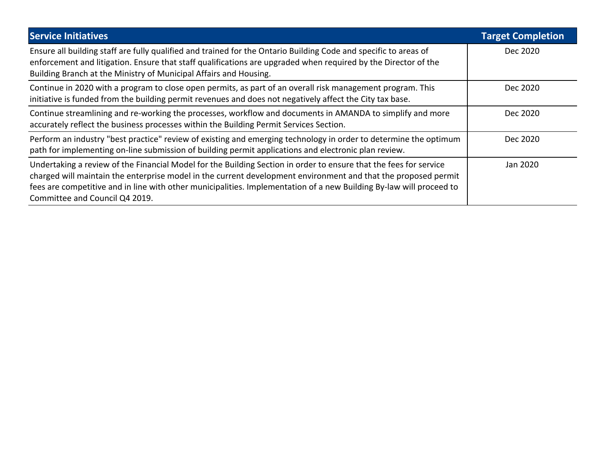| <b>Service Initiatives</b>                                                                                                                                                                                                                                                                                                                                                                   | <b>Target Completion</b> |
|----------------------------------------------------------------------------------------------------------------------------------------------------------------------------------------------------------------------------------------------------------------------------------------------------------------------------------------------------------------------------------------------|--------------------------|
| Ensure all building staff are fully qualified and trained for the Ontario Building Code and specific to areas of<br>enforcement and litigation. Ensure that staff qualifications are upgraded when required by the Director of the<br>Building Branch at the Ministry of Municipal Affairs and Housing.                                                                                      | Dec 2020                 |
| Continue in 2020 with a program to close open permits, as part of an overall risk management program. This<br>initiative is funded from the building permit revenues and does not negatively affect the City tax base.                                                                                                                                                                       | Dec 2020                 |
| Continue streamlining and re-working the processes, workflow and documents in AMANDA to simplify and more<br>accurately reflect the business processes within the Building Permit Services Section.                                                                                                                                                                                          | Dec 2020                 |
| Perform an industry "best practice" review of existing and emerging technology in order to determine the optimum<br>path for implementing on-line submission of building permit applications and electronic plan review.                                                                                                                                                                     | Dec 2020                 |
| Undertaking a review of the Financial Model for the Building Section in order to ensure that the fees for service<br>charged will maintain the enterprise model in the current development environment and that the proposed permit<br>fees are competitive and in line with other municipalities. Implementation of a new Building By-law will proceed to<br>Committee and Council Q4 2019. | Jan 2020                 |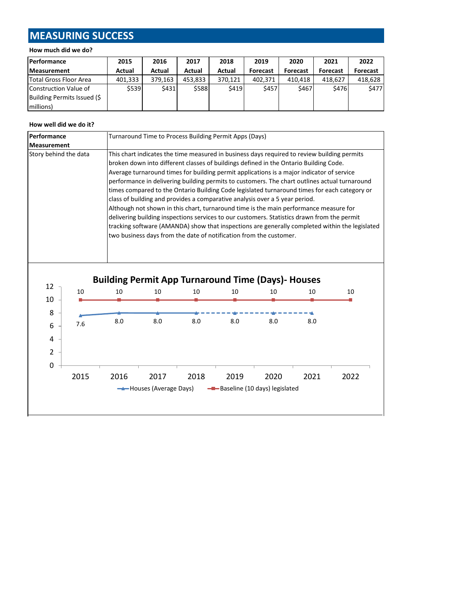# **MEASURING SUCCESS**

#### **How much did we do?**

| <b>Performance</b>          | 2015    | 2016    | 2017    | 2018    | 2019            | 2020     | 2021            | 2022            |
|-----------------------------|---------|---------|---------|---------|-----------------|----------|-----------------|-----------------|
| <b>Measurement</b>          | Actual  | Actual  | Actual  | Actual  | <b>Forecast</b> | Forecast | <b>Forecast</b> | <b>Forecast</b> |
| Total Gross Floor Area      | 401.333 | 379.163 | 453.833 | 370.121 | 402.371         | 410.418  | 418.627         | 418.628         |
| Construction Value of       | \$539   | \$431   | \$588   | \$419   | \$457           | \$467    | <b>\$476</b>    | \$477           |
| Building Permits Issued (\$ |         |         |         |         |                 |          |                 |                 |
| millions)                   |         |         |         |         |                 |          |                 |                 |

#### **How well did we do it?**

| Performance<br>Turnaround Time to Process Building Permit Apps (Days) |      |      |                               |                                                                                                                                                                                                                                                                                                                                                                                                                                                                                                                                                                                                                                |                                        |      |      |                                                                                                                                                                                                                                                                                                 |
|-----------------------------------------------------------------------|------|------|-------------------------------|--------------------------------------------------------------------------------------------------------------------------------------------------------------------------------------------------------------------------------------------------------------------------------------------------------------------------------------------------------------------------------------------------------------------------------------------------------------------------------------------------------------------------------------------------------------------------------------------------------------------------------|----------------------------------------|------|------|-------------------------------------------------------------------------------------------------------------------------------------------------------------------------------------------------------------------------------------------------------------------------------------------------|
| <b>Measurement</b>                                                    |      |      |                               |                                                                                                                                                                                                                                                                                                                                                                                                                                                                                                                                                                                                                                |                                        |      |      |                                                                                                                                                                                                                                                                                                 |
| Story behind the data                                                 |      |      |                               | This chart indicates the time measured in business days required to review building permits<br>broken down into different classes of buildings defined in the Ontario Building Code.<br>Average turnaround times for building permit applications is a major indicator of service<br>class of building and provides a comparative analysis over a 5 year period.<br>Although not shown in this chart, turnaround time is the main performance measure for<br>delivering building inspections services to our customers. Statistics drawn from the permit<br>two business days from the date of notification from the customer. |                                        |      |      | performance in delivering building permits to customers. The chart outlines actual turnaround<br>times compared to the Ontario Building Code legislated turnaround times for each category or<br>tracking software (AMANDA) show that inspections are generally completed within the legislated |
| 12<br>10                                                              | 10   | 10   | 10                            | <b>Building Permit App Turnaround Time (Days)- Houses</b><br>10                                                                                                                                                                                                                                                                                                                                                                                                                                                                                                                                                                | 10                                     | 10   | 10   | 10                                                                                                                                                                                                                                                                                              |
| 8                                                                     |      |      |                               |                                                                                                                                                                                                                                                                                                                                                                                                                                                                                                                                                                                                                                |                                        |      |      |                                                                                                                                                                                                                                                                                                 |
| 6<br>4<br>$\overline{2}$                                              | 7.6  | 8.0  | 8.0                           | 8.0                                                                                                                                                                                                                                                                                                                                                                                                                                                                                                                                                                                                                            | 8.0                                    | 8.0  | 8.0  |                                                                                                                                                                                                                                                                                                 |
| $\mathbf 0$                                                           | 2015 | 2016 | 2017<br>Houses (Average Days) | 2018                                                                                                                                                                                                                                                                                                                                                                                                                                                                                                                                                                                                                           | 2019<br>-Baseline (10 days) legislated | 2020 | 2021 | 2022                                                                                                                                                                                                                                                                                            |
|                                                                       |      |      |                               |                                                                                                                                                                                                                                                                                                                                                                                                                                                                                                                                                                                                                                |                                        |      |      |                                                                                                                                                                                                                                                                                                 |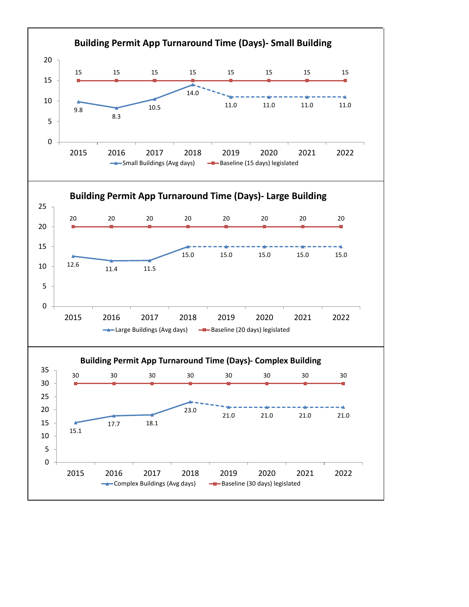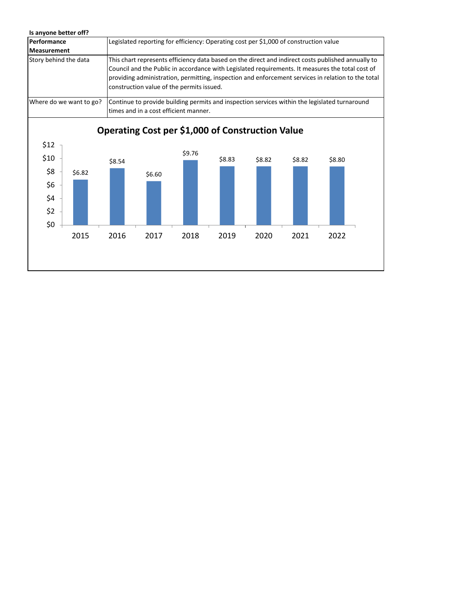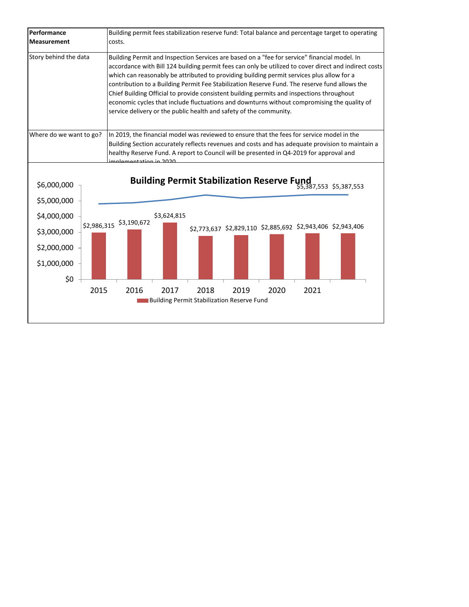